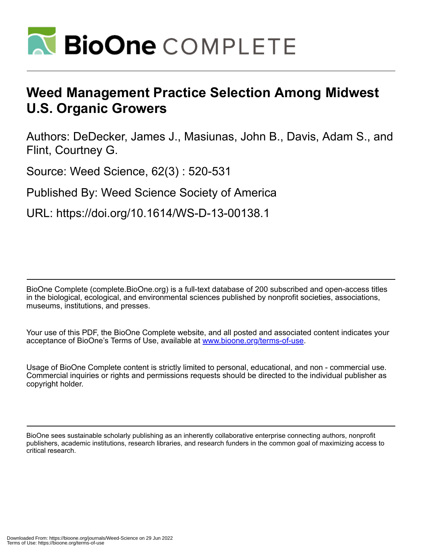

# **Weed Management Practice Selection Among Midwest U.S. Organic Growers**

Authors: DeDecker, James J., Masiunas, John B., Davis, Adam S., and Flint, Courtney G.

Source: Weed Science, 62(3) : 520-531

Published By: Weed Science Society of America

URL: https://doi.org/10.1614/WS-D-13-00138.1

BioOne Complete (complete.BioOne.org) is a full-text database of 200 subscribed and open-access titles in the biological, ecological, and environmental sciences published by nonprofit societies, associations, museums, institutions, and presses.

Your use of this PDF, the BioOne Complete website, and all posted and associated content indicates your acceptance of BioOne's Terms of Use, available at www.bioone.org/terms-of-use.

Usage of BioOne Complete content is strictly limited to personal, educational, and non - commercial use. Commercial inquiries or rights and permissions requests should be directed to the individual publisher as copyright holder.

BioOne sees sustainable scholarly publishing as an inherently collaborative enterprise connecting authors, nonprofit publishers, academic institutions, research libraries, and research funders in the common goal of maximizing access to critical research.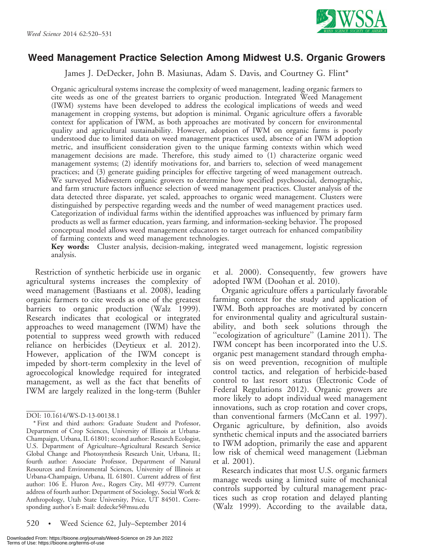

## Weed Management Practice Selection Among Midwest U.S. Organic Growers

James J. DeDecker, John B. Masiunas, Adam S. Davis, and Courtney G. Flint\*

Organic agricultural systems increase the complexity of weed management, leading organic farmers to cite weeds as one of the greatest barriers to organic production. Integrated Weed Management (IWM) systems have been developed to address the ecological implications of weeds and weed management in cropping systems, but adoption is minimal. Organic agriculture offers a favorable context for application of IWM, as both approaches are motivated by concern for environmental quality and agricultural sustainability. However, adoption of IWM on organic farms is poorly understood due to limited data on weed management practices used, absence of an IWM adoption metric, and insufficient consideration given to the unique farming contexts within which weed management decisions are made. Therefore, this study aimed to (1) characterize organic weed management systems; (2) identify motivations for, and barriers to, selection of weed management practices; and (3) generate guiding principles for effective targeting of weed management outreach. We surveyed Midwestern organic growers to determine how specified psychosocial, demographic, and farm structure factors influence selection of weed management practices. Cluster analysis of the data detected three disparate, yet scaled, approaches to organic weed management. Clusters were distinguished by perspective regarding weeds and the number of weed management practices used. Categorization of individual farms within the identified approaches was influenced by primary farm products as well as farmer education, years farming, and information-seeking behavior. The proposed conceptual model allows weed management educators to target outreach for enhanced compatibility of farming contexts and weed management technologies.

Key words: Cluster analysis, decision-making, integrated weed management, logistic regression analysis.

Restriction of synthetic herbicide use in organic agricultural systems increases the complexity of weed management (Bastiaans et al. 2008), leading organic farmers to cite weeds as one of the greatest barriers to organic production (Walz 1999). Research indicates that ecological or integrated approaches to weed management (IWM) have the potential to suppress weed growth with reduced reliance on herbicides (Deytieux et al. 2012). However, application of the IWM concept is impeded by short-term complexity in the level of agroecological knowledge required for integrated management, as well as the fact that benefits of IWM are largely realized in the long-term (Buhler

520 • Weed Science 62, July–September 2014

et al. 2000). Consequently, few growers have adopted IWM (Doohan et al. 2010).

Organic agriculture offers a particularly favorable farming context for the study and application of IWM. Both approaches are motivated by concern for environmental quality and agricultural sustainability, and both seek solutions through the ''ecologization of agriculture'' (Lamine 2011). The IWM concept has been incorporated into the U.S. organic pest management standard through emphasis on weed prevention, recognition of multiple control tactics, and relegation of herbicide-based control to last resort status (Electronic Code of Federal Regulations 2012). Organic growers are more likely to adopt individual weed management innovations, such as crop rotation and cover crops, than conventional farmers (McCann et al. 1997). Organic agriculture, by definition, also avoids synthetic chemical inputs and the associated barriers to IWM adoption, primarily the ease and apparent low risk of chemical weed management (Liebman et al. 2001).

Research indicates that most U.S. organic farmers manage weeds using a limited suite of mechanical controls supported by cultural management practices such as crop rotation and delayed planting (Walz 1999). According to the available data,

DOI: 10.1614/WS-D-13-00138.1

<sup>\*</sup> First and third authors: Graduate Student and Professor, Department of Crop Sciences, University of Illinois at Urbana-Champaign, Urbana, IL 61801; second author: Research Ecologist, U.S. Department of Agriculture–Agricultural Research Service Global Change and Photosynthesis Research Unit, Urbana, IL; fourth author: Associate Professor, Department of Natural Resources and Environmental Sciences, University of Illinois at Urbana-Champaign, Urbana, IL 61801. Current address of first author: 106 E. Huron Ave., Rogers City, MI 49779. Current address of fourth author: Department of Sociology, Social Work & Anthropology, Utah State University, Price, UT 84501. Corresponding author's E-mail: dedecke5@msu.edu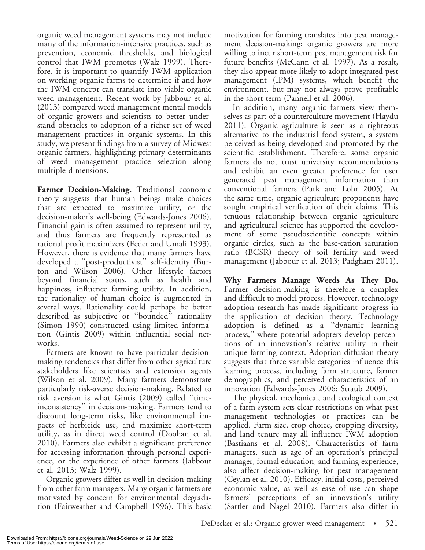organic weed management systems may not include many of the information-intensive practices, such as prevention, economic thresholds, and biological control that IWM promotes (Walz 1999). Therefore, it is important to quantify IWM application on working organic farms to determine if and how the IWM concept can translate into viable organic weed management. Recent work by Jabbour et al. (2013) compared weed management mental models of organic growers and scientists to better understand obstacles to adoption of a richer set of weed management practices in organic systems. In this study, we present findings from a survey of Midwest organic farmers, highlighting primary determinants of weed management practice selection along multiple dimensions.

Farmer Decision-Making. Traditional economic theory suggests that human beings make choices that are expected to maximize utility, or the decision-maker's well-being (Edwards-Jones 2006). Financial gain is often assumed to represent utility, and thus farmers are frequently represented as rational profit maximizers (Feder and Umali 1993). However, there is evidence that many farmers have developed a ''post-productivist'' self-identity (Burton and Wilson 2006). Other lifestyle factors beyond financial status, such as health and happiness, influence farming utility. In addition, the rationality of human choice is augmented in several ways. Rationality could perhaps be better described as subjective or ''bounded'' rationality (Simon 1990) constructed using limited information (Gintis 2009) within influential social networks.

Farmers are known to have particular decisionmaking tendencies that differ from other agriculture stakeholders like scientists and extension agents (Wilson et al. 2009). Many farmers demonstrate particularly risk-averse decision-making. Related to risk aversion is what Gintis (2009) called ''timeinconsistency'' in decision-making. Farmers tend to discount long-term risks, like environmental impacts of herbicide use, and maximize short-term utility, as in direct weed control (Doohan et al. 2010). Farmers also exhibit a significant preference for accessing information through personal experience, or the experience of other farmers (Jabbour et al. 2013; Walz 1999).

Organic growers differ as well in decision-making from other farm managers. Many organic farmers are motivated by concern for environmental degradation (Fairweather and Campbell 1996). This basic motivation for farming translates into pest management decision-making; organic growers are more willing to incur short-term pest management risk for future benefits (McCann et al. 1997). As a result, they also appear more likely to adopt integrated pest management (IPM) systems, which benefit the environment, but may not always prove profitable in the short-term (Pannell et al. 2006).

In addition, many organic farmers view themselves as part of a counterculture movement (Haydu 2011). Organic agriculture is seen as a righteous alternative to the industrial food system, a system perceived as being developed and promoted by the scientific establishment. Therefore, some organic farmers do not trust university recommendations and exhibit an even greater preference for user generated pest management information than conventional farmers (Park and Lohr 2005). At the same time, organic agriculture proponents have sought empirical verification of their claims. This tenuous relationship between organic agriculture and agricultural science has supported the development of some pseudoscientific concepts within organic circles, such as the base-cation saturation ratio (BCSR) theory of soil fertility and weed management (Jabbour et al. 2013; Padgham 2011).

Why Farmers Manage Weeds As They Do. Farmer decision-making is therefore a complex and difficult to model process. However, technology adoption research has made significant progress in the application of decision theory. Technology adoption is defined as a ''dynamic learning process,'' where potential adopters develop perceptions of an innovation's relative utility in their unique farming context. Adoption diffusion theory suggests that three variable categories influence this learning process, including farm structure, farmer demographics, and perceived characteristics of an innovation (Edwards-Jones 2006; Straub 2009).

The physical, mechanical, and ecological context of a farm system sets clear restrictions on what pest management technologies or practices can be applied. Farm size, crop choice, cropping diversity, and land tenure may all influence IWM adoption (Bastiaans et al. 2008). Characteristics of farm managers, such as age of an operation's principal manager, formal education, and farming experience, also affect decision-making for pest management (Ceylan et al. 2010). Efficacy, initial costs, perceived economic value, as well as ease of use can shape farmers' perceptions of an innovation's utility (Sattler and Nagel 2010). Farmers also differ in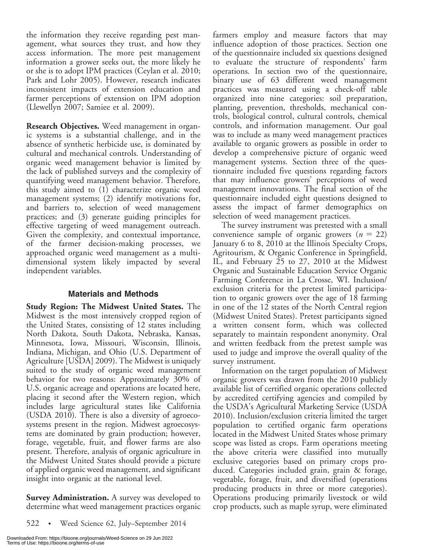the information they receive regarding pest management, what sources they trust, and how they access information. The more pest management information a grower seeks out, the more likely he or she is to adopt IPM practices (Ceylan et al. 2010; Park and Lohr 2005). However, research indicates inconsistent impacts of extension education and farmer perceptions of extension on IPM adoption (Llewellyn 2007; Samiee et al. 2009).

Research Objectives. Weed management in organic systems is a substantial challenge, and in the absence of synthetic herbicide use, is dominated by cultural and mechanical controls. Understanding of organic weed management behavior is limited by the lack of published surveys and the complexity of quantifying weed management behavior. Therefore, this study aimed to (1) characterize organic weed management systems; (2) identify motivations for, and barriers to, selection of weed management practices; and (3) generate guiding principles for effective targeting of weed management outreach. Given the complexity, and contextual importance, of the farmer decision-making processes, we approached organic weed management as a multidimensional system likely impacted by several independent variables.

## Materials and Methods

Study Region: The Midwest United States. The Midwest is the most intensively cropped region of the United States, consisting of 12 states including North Dakota, South Dakota, Nebraska, Kansas, Minnesota, Iowa, Missouri, Wisconsin, Illinois, Indiana, Michigan, and Ohio (U.S. Department of Agriculture [USDA] 2009). The Midwest is uniquely suited to the study of organic weed management behavior for two reasons: Approximately 30% of U.S. organic acreage and operations are located here, placing it second after the Western region, which includes large agricultural states like California (USDA 2010). There is also a diversity of agroecosystems present in the region. Midwest agroecosystems are dominated by grain production; however, forage, vegetable, fruit, and flower farms are also present. Therefore, analysis of organic agriculture in the Midwest United States should provide a picture of applied organic weed management, and significant insight into organic at the national level.

**Survey Administration.** A survey was developed to determine what weed management practices organic

522 • Weed Science 62, July–September 2014

farmers employ and measure factors that may influence adoption of those practices. Section one of the questionnaire included six questions designed to evaluate the structure of respondents' farm operations. In section two of the questionnaire, binary use of 63 different weed management practices was measured using a check-off table organized into nine categories: soil preparation, planting, prevention, thresholds, mechanical controls, biological control, cultural controls, chemical controls, and information management. Our goal was to include as many weed management practices available to organic growers as possible in order to develop a comprehensive picture of organic weed management systems. Section three of the questionnaire included five questions regarding factors that may influence growers' perceptions of weed management innovations. The final section of the questionnaire included eight questions designed to assess the impact of farmer demographics on selection of weed management practices.

The survey instrument was pretested with a small convenience sample of organic growers  $(n = 22)$ January 6 to 8, 2010 at the Illinois Specialty Crops, Agritourism, & Organic Conference in Springfield, IL, and February 25 to 27, 2010 at the Midwest Organic and Sustainable Education Service Organic Farming Conference in La Crosse, WI. Inclusion/ exclusion criteria for the pretest limited participation to organic growers over the age of 18 farming in one of the 12 states of the North Central region (Midwest United States). Pretest participants signed a written consent form, which was collected separately to maintain respondent anonymity. Oral and written feedback from the pretest sample was used to judge and improve the overall quality of the survey instrument.

Information on the target population of Midwest organic growers was drawn from the 2010 publicly available list of certified organic operations collected by accredited certifying agencies and compiled by the USDA's Agricultural Marketing Service (USDA 2010). Inclusion/exclusion criteria limited the target population to certified organic farm operations located in the Midwest United States whose primary scope was listed as crops. Farm operations meeting the above criteria were classified into mutually exclusive categories based on primary crops produced. Categories included grain, grain & forage, vegetable, forage, fruit, and diversified (operations producing products in three or more categories). Operations producing primarily livestock or wild crop products, such as maple syrup, were eliminated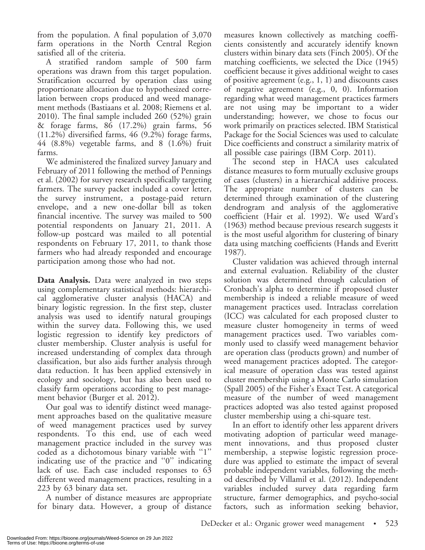from the population. A final population of 3,070 farm operations in the North Central Region satisfied all of the criteria.

A stratified random sample of 500 farm operations was drawn from this target population. Stratification occurred by operation class using proportionate allocation due to hypothesized correlation between crops produced and weed management methods (Bastiaans et al. 2008; Riemens et al. 2010). The final sample included 260 (52%) grain & forage farms, 86 (17.2%) grain farms, 56 (11.2%) diversified farms, 46 (9.2%) forage farms, 44 (8.8%) vegetable farms, and 8 (1.6%) fruit farms.

We administered the finalized survey January and February of 2011 following the method of Pennings et al. (2002) for survey research specifically targeting farmers. The survey packet included a cover letter, the survey instrument, a postage-paid return envelope, and a new one-dollar bill as token financial incentive. The survey was mailed to 500 potential respondents on January 21, 2011. A follow-up postcard was mailed to all potential respondents on February 17, 2011, to thank those farmers who had already responded and encourage participation among those who had not.

Data Analysis. Data were analyzed in two steps using complementary statistical methods: hierarchical agglomerative cluster analysis (HACA) and binary logistic regression. In the first step, cluster analysis was used to identify natural groupings within the survey data. Following this, we used logistic regression to identify key predictors of cluster membership. Cluster analysis is useful for increased understanding of complex data through classification, but also aids further analysis through data reduction. It has been applied extensively in ecology and sociology, but has also been used to classify farm operations according to pest management behavior (Burger et al. 2012).

Our goal was to identify distinct weed management approaches based on the qualitative measure of weed management practices used by survey respondents. To this end, use of each weed management practice included in the survey was coded as a dichotomous binary variable with ''1'' indicating use of the practice and ''0'' indicating lack of use. Each case included responses to 63 different weed management practices, resulting in a 223 by 63 binary data set.

A number of distance measures are appropriate for binary data. However, a group of distance measures known collectively as matching coefficients consistently and accurately identify known clusters within binary data sets (Finch 2005). Of the matching coefficients, we selected the Dice (1945) coefficient because it gives additional weight to cases of positive agreement (e.g., 1, 1) and discounts cases of negative agreement (e.g., 0, 0). Information regarding what weed management practices farmers are not using may be important to a wider understanding; however, we chose to focus our work primarily on practices selected. IBM Statistical Package for the Social Sciences was used to calculate Dice coefficients and construct a similarity matrix of all possible case pairings (IBM Corp. 2011).

The second step in HACA uses calculated distance measures to form mutually exclusive groups of cases (clusters) in a hierarchical additive process. The appropriate number of clusters can be determined through examination of the clustering dendrogram and analysis of the agglomerative coefficient (Hair et al. 1992). We used Ward's (1963) method because previous research suggests it is the most useful algorithm for clustering of binary data using matching coefficients (Hands and Everitt 1987).

Cluster validation was achieved through internal and external evaluation. Reliability of the cluster solution was determined through calculation of Cronbach's alpha to determine if proposed cluster membership is indeed a reliable measure of weed management practices used. Intraclass correlation (ICC) was calculated for each proposed cluster to measure cluster homogeneity in terms of weed management practices used. Two variables commonly used to classify weed management behavior are operation class (products grown) and number of weed management practices adopted. The categorical measure of operation class was tested against cluster membership using a Monte Carlo simulation (Spall 2005) of the Fisher's Exact Test. A categorical measure of the number of weed management practices adopted was also tested against proposed cluster membership using a chi-square test.

In an effort to identify other less apparent drivers motivating adoption of particular weed management innovations, and thus proposed cluster membership, a stepwise logistic regression procedure was applied to estimate the impact of several probable independent variables, following the method described by Villamil et al. (2012). Independent variables included survey data regarding farm structure, farmer demographics, and psycho-social factors, such as information seeking behavior,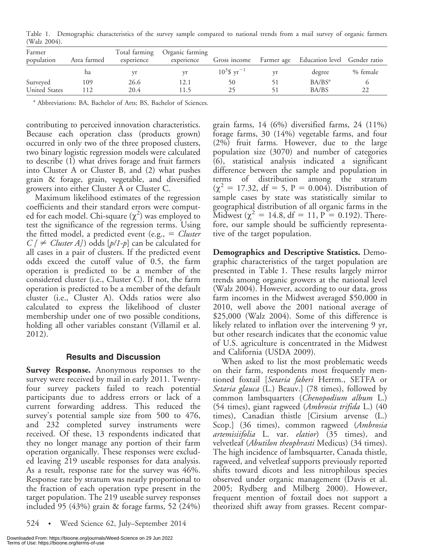Table 1. Demographic characteristics of the survey sample compared to national trends from a mail survey of organic farmers (Walz 2004).

| Farmer<br>population | Area farmed | Total farming<br>experience | Organic farming<br>experience | Gross income               | Farmer age | Education level Gender ratio |          |  |
|----------------------|-------------|-----------------------------|-------------------------------|----------------------------|------------|------------------------------|----------|--|
|                      | ha          | vr                          |                               | $10^3$ \$ yr <sup>-1</sup> |            | degree                       | % female |  |
| Surveyed             | 109         | 26.6                        | 12.1                          |                            |            | $BA/BS^a$                    |          |  |
| United States        | 112         | 20.4                        | LL 5                          |                            |            | BA/BS                        |          |  |

<sup>a</sup> Abbreviations: BA, Bachelor of Arts; BS, Bachelor of Sciences.

contributing to perceived innovation characteristics. Because each operation class (products grown) occurred in only two of the three proposed clusters, two binary logistic regression models were calculated to describe (1) what drives forage and fruit farmers into Cluster A or Cluster B, and (2) what pushes grain & forage, grain, vegetable, and diversified growers into either Cluster A or Cluster C.

Maximum likelihood estimates of the regression coefficients and their standard errors were computed for each model. Chi-square  $(\chi^2)$  was employed to test the significance of the regression terms. Using the fitted model, a predicted event (e.g.,  $=$  *Cluster*  $C$  [  $\neq$  *Cluster A]*) odds [ $p/I$ - $p$ ] can be calculated for all cases in a pair of clusters. If the predicted event odds exceed the cutoff value of 0.5, the farm operation is predicted to be a member of the considered cluster (i.e., Cluster C). If not, the farm operation is predicted to be a member of the default cluster (i.e., Cluster A). Odds ratios were also calculated to express the likelihood of cluster membership under one of two possible conditions, holding all other variables constant (Villamil et al. 2012).

#### Results and Discussion

**Survey Response.** Anonymous responses to the survey were received by mail in early 2011. Twentyfour survey packets failed to reach potential participants due to address errors or lack of a current forwarding address. This reduced the survey's potential sample size from 500 to 476, and 232 completed survey instruments were received. Of these, 13 respondents indicated that they no longer manage any portion of their farm operation organically. These responses were excluded leaving 219 useable responses for data analysis. As a result, response rate for the survey was 46%. Response rate by stratum was nearly proportional to the fraction of each operation type present in the target population. The 219 useable survey responses included 95 (43%) grain & forage farms, 52 (24%)

524 • Weed Science 62, July–September 2014

grain farms, 14 (6%) diversified farms, 24 (11%) forage farms, 30 (14%) vegetable farms, and four (2%) fruit farms. However, due to the large population size (3070) and number of categories (6), statistical analysis indicated a significant difference between the sample and population in terms of distribution among the stratum  $(\chi^2 = 17.32, df = 5, P = 0.004)$ . Distribution of sample cases by state was statistically similar to geographical distribution of all organic farms in the Midwest ( $\chi^2 = 14.8$ , df = 11, P = 0.192). Therefore, our sample should be sufficiently representative of the target population.

Demographics and Descriptive Statistics. Demographic characteristics of the target population are presented in Table 1. These results largely mirror trends among organic growers at the national level (Walz 2004). However, according to our data, gross farm incomes in the Midwest averaged \$50,000 in 2010, well above the 2001 national average of \$25,000 (Walz 2004). Some of this difference is likely related to inflation over the intervening 9 yr, but other research indicates that the economic value of U.S. agriculture is concentrated in the Midwest and California (USDA 2009).

When asked to list the most problematic weeds on their farm, respondents most frequently mentioned foxtail [Setaria faberi Herrm., SETFA or Setaria glauca (L.) Beauv.] (78 times), followed by common lambsquarters (Chenopodium album L.) (54 times), giant ragweed (Ambrosia trifida L.) (40 times), Canadian thistle [Cirsium arvense (L.) Scop.] (36 times), common ragweed (Ambrosia artemisiifolia L. var. elatior) (35 times), and velvetleaf (*Abutilon theophrasti* Medicus) (34 times). The high incidence of lambsquarter, Canada thistle, ragweed, and velvetleaf supports previously reported shifts toward dicots and less nitrophilous species observed under organic management (Davis et al. 2005; Rydberg and Milberg 2000). However, frequent mention of foxtail does not support a theorized shift away from grasses. Recent compar-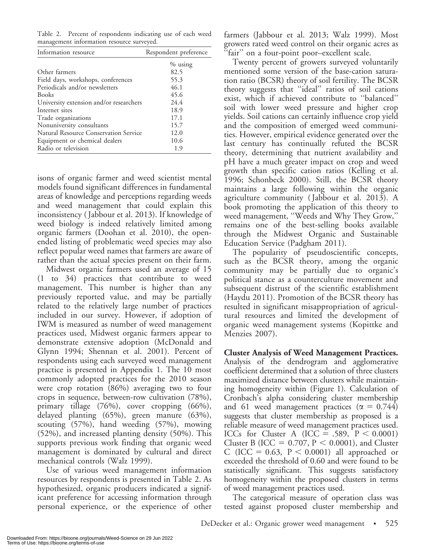Table 2. Percent of respondents indicating use of each weed management information resource surveyed.

| Information resource                         | Respondent preference |  |  |
|----------------------------------------------|-----------------------|--|--|
|                                              | $%$ using             |  |  |
| Other farmers                                | 82.5                  |  |  |
| Field days, workshops, conferences           | 55.3                  |  |  |
| Periodicals and/or newsletters               | 46.1                  |  |  |
| <b>Books</b>                                 | 45.6                  |  |  |
| University extension and/or researchers      | 24.4                  |  |  |
| Internet sites                               | 18.9                  |  |  |
| Trade organizations                          | 17.1                  |  |  |
| Nonuniversity consultants                    | 15.7                  |  |  |
| <b>Natural Resource Conservation Service</b> | 12.0                  |  |  |
| Equipment or chemical dealers                | 10.6                  |  |  |
| Radio or television                          | 1.9                   |  |  |

isons of organic farmer and weed scientist mental models found significant differences in fundamental areas of knowledge and perceptions regarding weeds and weed management that could explain this inconsistency ( Jabbour et al. 2013). If knowledge of weed biology is indeed relatively limited among organic farmers (Doohan et al. 2010), the openended listing of problematic weed species may also reflect popular weed names that farmers are aware of rather than the actual species present on their farm.

Midwest organic farmers used an average of 15 (1 to 34) practices that contribute to weed management. This number is higher than any previously reported value, and may be partially related to the relatively large number of practices included in our survey. However, if adoption of IWM is measured as number of weed management practices used, Midwest organic farmers appear to demonstrate extensive adoption (McDonald and Glynn 1994; Shennan et al. 2001). Percent of respondents using each surveyed weed management practice is presented in Appendix 1. The 10 most commonly adopted practices for the 2010 season were crop rotation (86%) averaging two to four crops in sequence, between-row cultivation (78%), primary tillage (76%), cover cropping (66%), delayed planting (65%), green manure (63%), scouting (57%), hand weeding (57%), mowing (52%), and increased planting density (50%). This supports previous work finding that organic weed management is dominated by cultural and direct mechanical controls (Walz 1999).

Use of various weed management information resources by respondents is presented in Table 2. As hypothesized, organic producers indicated a significant preference for accessing information through personal experience, or the experience of other farmers (Jabbour et al. 2013; Walz 1999). Most growers rated weed control on their organic acres as ''fair'' on a four-point poor–excellent scale.

Twenty percent of growers surveyed voluntarily mentioned some version of the base-cation saturation ratio (BCSR) theory of soil fertility. The BCSR theory suggests that ''ideal'' ratios of soil cations exist, which if achieved contribute to ''balanced'' soil with lower weed pressure and higher crop yields. Soil cations can certainly influence crop yield and the composition of emerged weed communities. However, empirical evidence generated over the last century has continually refuted the BCSR theory, determining that nutrient availability and pH have a much greater impact on crop and weed growth than specific cation ratios (Kelling et al. 1996; Schonbeck 2000). Still, the BCSR theory maintains a large following within the organic agriculture community ( Jabbour et al. 2013). A book promoting the application of this theory to weed management, ''Weeds and Why They Grow,'' remains one of the best-selling books available through the Midwest Organic and Sustainable Education Service (Padgham 2011).

The popularity of pseudoscientific concepts, such as the BCSR theory, among the organic community may be partially due to organic's political stance as a counterculture movement and subsequent distrust of the scientific establishment (Haydu 2011). Promotion of the BCSR theory has resulted in significant misappropriation of agricultural resources and limited the development of organic weed management systems (Kopittke and Menzies 2007).

Cluster Analysis of Weed Management Practices. Analysis of the dendrogram and agglomerative coefficient determined that a solution of three clusters maximized distance between clusters while maintaining homogeneity within (Figure 1). Calculation of Cronbach's alpha considering cluster membership and 61 weed management practices ( $\alpha = 0.744$ ) suggests that cluster membership as proposed is a reliable measure of weed management practices used. ICCs for Cluster A (ICC = .589,  $P < 0.0001$ ) Cluster B (ICC =  $0.707$ , P < 0.0001), and Cluster C (ICC = 0.63,  $P < 0.0001$ ) all approached or exceeded the threshold of 0.60 and were found to be statistically significant. This suggests satisfactory homogeneity within the proposed clusters in terms of weed management practices used.

The categorical measure of operation class was tested against proposed cluster membership and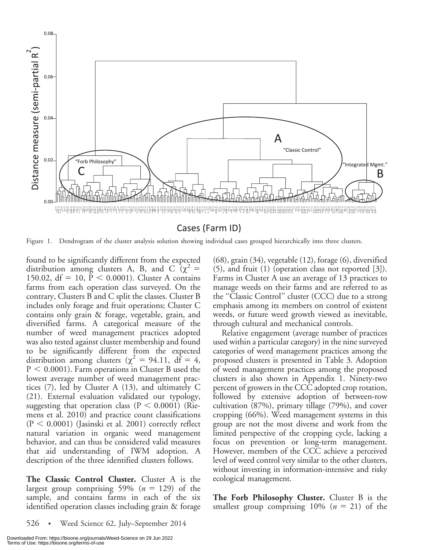

Figure 1. Dendrogram of the cluster analysis solution showing individual cases grouped hierarchically into three clusters.

found to be significantly different from the expected distribution among clusters A, B, and C  $\alpha^2$  = 150.02,  $df = 10$ ,  $P < 0.0001$ ). Cluster A contains farms from each operation class surveyed. On the contrary, Clusters B and C split the classes. Cluster B includes only forage and fruit operations; Cluster C contains only grain & forage, vegetable, grain, and diversified farms. A categorical measure of the number of weed management practices adopted was also tested against cluster membership and found to be significantly different from the expected distribution among clusters ( $\chi^2 = 94.11$ , df = 4,  $P < 0.0001$ ). Farm operations in Cluster B used the lowest average number of weed management practices (7), led by Cluster A (13), and ultimately C (21). External evaluation validated our typology, suggesting that operation class ( $P < 0.0001$ ) (Riemens et al. 2010) and practice count classifications  $(P < 0.0001)$  (Jasinski et al. 2001) correctly reflect natural variation in organic weed management behavior, and can thus be considered valid measures that aid understanding of IWM adoption. A description of the three identified clusters follows.

The Classic Control Cluster. Cluster A is the largest group comprising 59% ( $n = 129$ ) of the sample, and contains farms in each of the six identified operation classes including grain & forage

526 • Weed Science 62, July–September 2014

(68), grain (34), vegetable (12), forage (6), diversified (5), and fruit (1) (operation class not reported [3]). Farms in Cluster A use an average of 13 practices to manage weeds on their farms and are referred to as the ''Classic Control'' cluster (CCC) due to a strong emphasis among its members on control of existent weeds, or future weed growth viewed as inevitable, through cultural and mechanical controls.

Relative engagement (average number of practices used within a particular category) in the nine surveyed categories of weed management practices among the proposed clusters is presented in Table 3. Adoption of weed management practices among the proposed clusters is also shown in Appendix 1. Ninety-two percent of growers in the CCC adopted crop rotation, followed by extensive adoption of between-row cultivation (87%), primary tillage (79%), and cover cropping (66%). Weed management systems in this group are not the most diverse and work from the limited perspective of the cropping cycle, lacking a focus on prevention or long-term management. However, members of the CCC achieve a perceived level of weed control very similar to the other clusters, without investing in information-intensive and risky ecological management.

The Forb Philosophy Cluster. Cluster B is the smallest group comprising  $10\%$  ( $n = 21$ ) of the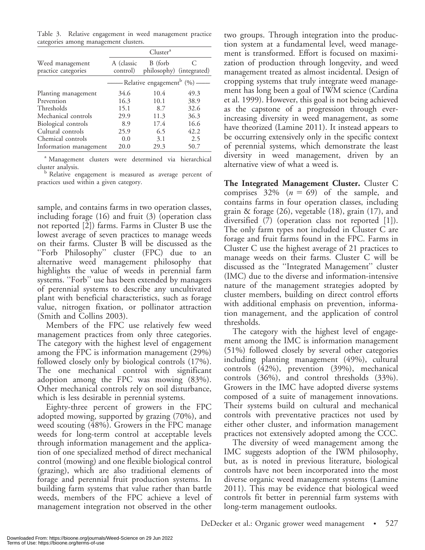Table 3. Relative engagement in weed management practice categories among management clusters.

|                                        |                        | Cluster <sup>a</sup>                     |      |
|----------------------------------------|------------------------|------------------------------------------|------|
| Weed management<br>practice categories | A (classic<br>control) | B (forb<br>philosophy) (integrated)      |      |
|                                        |                        | — Relative engagement <sup>b</sup> (%)—— |      |
| Planting management                    | 34.6                   | 10.4                                     | 49.3 |
| Prevention                             | 16.3                   | 10.1                                     | 38.9 |
| Thresholds                             | 15.1                   | 8.7                                      | 32.6 |
| Mechanical controls                    | 29.9                   | 11.3                                     | 36.3 |
| Biological controls                    | 8.9                    | 17.4                                     | 16.6 |
| Cultural controls                      | 25.9                   | 6.5                                      | 42.2 |
| Chemical controls                      | 0.0                    | 3.1                                      | 2.5  |
| Information management                 | 20.0                   | 29.3                                     | 50.7 |

<sup>a</sup> Management clusters were determined via hierarchical

cluster analysis.<br><sup>b</sup> Relative engagement is measured as average percent of practices used within a given category.

sample, and contains farms in two operation classes, including forage (16) and fruit (3) (operation class not reported [2]) farms. Farms in Cluster B use the lowest average of seven practices to manage weeds on their farms. Cluster B will be discussed as the ''Forb Philosophy'' cluster (FPC) due to an alternative weed management philosophy that highlights the value of weeds in perennial farm systems. ''Forb'' use has been extended by managers of perennial systems to describe any uncultivated plant with beneficial characteristics, such as forage value, nitrogen fixation, or pollinator attraction (Smith and Collins 2003).

Members of the FPC use relatively few weed management practices from only three categories. The category with the highest level of engagement among the FPC is information management (29%) followed closely only by biological controls (17%). The one mechanical control with significant adoption among the FPC was mowing (83%). Other mechanical controls rely on soil disturbance, which is less desirable in perennial systems.

Eighty-three percent of growers in the FPC adopted mowing, supported by grazing (70%), and weed scouting (48%). Growers in the FPC manage weeds for long-term control at acceptable levels through information management and the application of one specialized method of direct mechanical control (mowing) and one flexible biological control (grazing), which are also traditional elements of forage and perennial fruit production systems. In building farm systems that value rather than battle weeds, members of the FPC achieve a level of management integration not observed in the other

two groups. Through integration into the production system at a fundamental level, weed management is transformed. Effort is focused on maximization of production through longevity, and weed management treated as almost incidental. Design of cropping systems that truly integrate weed management has long been a goal of IWM science (Cardina et al. 1999). However, this goal is not being achieved as the capstone of a progression through everincreasing diversity in weed management, as some have theorized (Lamine 2011). It instead appears to be occurring extensively only in the specific context of perennial systems, which demonstrate the least diversity in weed management, driven by an alternative view of what a weed is.

The Integrated Management Cluster. Cluster C comprises  $32\%$   $(n = 69)$  of the sample, and contains farms in four operation classes, including grain & forage (26), vegetable (18), grain (17), and diversified (7) (operation class not reported [1]). The only farm types not included in Cluster C are forage and fruit farms found in the FPC. Farms in Cluster C use the highest average of 21 practices to manage weeds on their farms. Cluster C will be discussed as the ''Integrated Management'' cluster (IMC) due to the diverse and information-intensive nature of the management strategies adopted by cluster members, building on direct control efforts with additional emphasis on prevention, information management, and the application of control thresholds.

The category with the highest level of engagement among the IMC is information management (51%) followed closely by several other categories including planting management (49%), cultural controls (42%), prevention (39%), mechanical controls (36%), and control thresholds (33%). Growers in the IMC have adopted diverse systems composed of a suite of management innovations. Their systems build on cultural and mechanical controls with preventative practices not used by either other cluster, and information management practices not extensively adopted among the CCC.

The diversity of weed management among the IMC suggests adoption of the IWM philosophy, but, as is noted in previous literature, biological controls have not been incorporated into the most diverse organic weed management systems (Lamine 2011). This may be evidence that biological weed controls fit better in perennial farm systems with long-term management outlooks.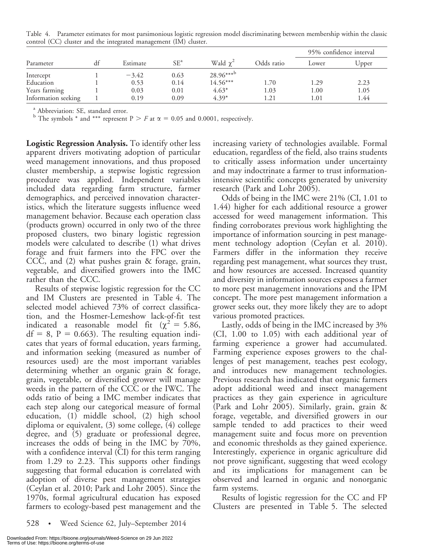|                     |    | Estimate | $SE^a$ | Wald $\chi^2$         | Odds ratio | 95% confidence interval |       |
|---------------------|----|----------|--------|-----------------------|------------|-------------------------|-------|
| Parameter           | df |          |        |                       |            | Lower                   | Upper |
| Intercept           |    | $-3.42$  | 0.63   | $28.96***^{\text{b}}$ |            |                         |       |
| Education           |    | 0.53     | 0.14   | $14.56***$            | 1.70       | 1.29                    | 2.23  |
| Years farming       |    | 0.03     | 0.01   | $4.63*$               | 1.03       | 1.00                    | 1.05  |
| Information seeking |    | 0.19     | 0.09   | $4.39*$               | 1.21       | 1.01                    | 1.44  |

Table 4. Parameter estimates for most parsimonious logistic regression model discriminating between membership within the classic control (CC) cluster and the integrated management (IM) cluster.

<sup>a</sup> Abbreviation: SE, standard error.

<sup>b</sup> The symbols \* and \*\*\* represent  $P > F$  at  $\alpha = 0.05$  and 0.0001, respectively.

Logistic Regression Analysis. To identify other less apparent drivers motivating adoption of particular weed management innovations, and thus proposed cluster membership, a stepwise logistic regression procedure was applied. Independent variables included data regarding farm structure, farmer demographics, and perceived innovation characteristics, which the literature suggests influence weed management behavior. Because each operation class (products grown) occurred in only two of the three proposed clusters, two binary logistic regression models were calculated to describe (1) what drives forage and fruit farmers into the FPC over the CCC, and (2) what pushes grain & forage, grain, vegetable, and diversified growers into the IMC rather than the CCC.

Results of stepwise logistic regression for the CC and IM Clusters are presented in Table 4. The selected model achieved 73% of correct classification, and the Hosmer-Lemeshow lack-of-fit test indicated a reasonable model fit ( $\chi^2 = 5.86$ ,  $df = 8$ ,  $P = 0.663$ . The resulting equation indicates that years of formal education, years farming, and information seeking (measured as number of resources used) are the most important variables determining whether an organic grain & forage, grain, vegetable, or diversified grower will manage weeds in the pattern of the CCC or the IWC. The odds ratio of being a IMC member indicates that each step along our categorical measure of formal education, (1) middle school, (2) high school diploma or equivalent, (3) some college, (4) college degree, and (5) graduate or professional degree, increases the odds of being in the IMC by 70%, with a confidence interval (CI) for this term ranging from 1.29 to 2.23. This supports other findings suggesting that formal education is correlated with adoption of diverse pest management strategies (Ceylan et al. 2010; Park and Lohr 2005). Since the 1970s, formal agricultural education has exposed farmers to ecology-based pest management and the

increasing variety of technologies available. Formal education, regardless of the field, also trains students to critically assess information under uncertainty and may indoctrinate a farmer to trust informationintensive scientific concepts generated by university research (Park and Lohr 2005).

Odds of being in the IMC were 21% (CI, 1.01 to 1.44) higher for each additional resource a grower accessed for weed management information. This finding corroborates previous work highlighting the importance of information sourcing in pest management technology adoption (Ceylan et al. 2010). Farmers differ in the information they receive regarding pest management, what sources they trust, and how resources are accessed. Increased quantity and diversity in information sources exposes a farmer to more pest management innovations and the IPM concept. The more pest management information a grower seeks out, they more likely they are to adopt various promoted practices.

Lastly, odds of being in the IMC increased by 3% (CI, 1.00 to 1.05) with each additional year of farming experience a grower had accumulated. Farming experience exposes growers to the challenges of pest management, teaches pest ecology, and introduces new management technologies. Previous research has indicated that organic farmers adopt additional weed and insect management practices as they gain experience in agriculture (Park and Lohr 2005). Similarly, grain, grain & forage, vegetable, and diversified growers in our sample tended to add practices to their weed management suite and focus more on prevention and economic thresholds as they gained experience. Interestingly, experience in organic agriculture did not prove significant, suggesting that weed ecology and its implications for management can be observed and learned in organic and nonorganic farm systems.

Results of logistic regression for the CC and FP Clusters are presented in Table 5. The selected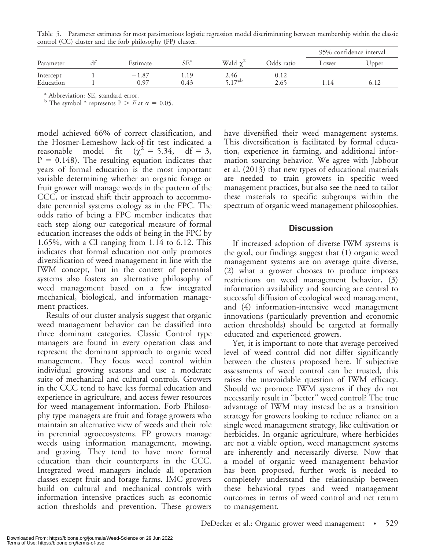|           |          |        |               |            | 95% confidence interval |       |
|-----------|----------|--------|---------------|------------|-------------------------|-------|
| Parameter | Estimate | $SE^a$ | Wald $\chi^2$ | Odds ratio | Lower                   | Upper |
| Intercept | $-1.87$  |        | 2.46          | 0.12       |                         |       |
| Education | 0 97     | 0.43   | $5.17^{*b}$   | 2.65       | 1.14                    | 6.12  |

Table 5. Parameter estimates for most parsimonious logistic regression model discriminating between membership within the classic control (CC) cluster and the forb philosophy (FP) cluster.

<sup>a</sup> Abbreviation: SE, standard error.

<sup>b</sup> The symbol \* represents  $P > F$  at  $\alpha = 0.05$ .

model achieved 66% of correct classification, and the Hosmer-Lemeshow lack-of-fit test indicated a reasonable model fit ( $\chi^2 = 5.34$ , df = 3,  $P = 0.148$ ). The resulting equation indicates that years of formal education is the most important variable determining whether an organic forage or fruit grower will manage weeds in the pattern of the CCC, or instead shift their approach to accommodate perennial systems ecology as in the FPC. The odds ratio of being a FPC member indicates that each step along our categorical measure of formal education increases the odds of being in the FPC by 1.65%, with a CI ranging from 1.14 to 6.12. This indicates that formal education not only promotes diversification of weed management in line with the IWM concept, but in the context of perennial systems also fosters an alternative philosophy of weed management based on a few integrated mechanical, biological, and information management practices.

Results of our cluster analysis suggest that organic weed management behavior can be classified into three dominant categories. Classic Control type managers are found in every operation class and represent the dominant approach to organic weed management. They focus weed control within individual growing seasons and use a moderate suite of mechanical and cultural controls. Growers in the CCC tend to have less formal education and experience in agriculture, and access fewer resources for weed management information. Forb Philosophy type managers are fruit and forage growers who maintain an alternative view of weeds and their role in perennial agroecosystems. FP growers manage weeds using information management, mowing, and grazing. They tend to have more formal education than their counterparts in the CCC. Integrated weed managers include all operation classes except fruit and forage farms. IMC growers build on cultural and mechanical controls with information intensive practices such as economic action thresholds and prevention. These growers have diversified their weed management systems. This diversification is facilitated by formal education, experience in farming, and additional information sourcing behavior. We agree with Jabbour et al. (2013) that new types of educational materials are needed to train growers in specific weed management practices, but also see the need to tailor these materials to specific subgroups within the spectrum of organic weed management philosophies.

## **Discussion**

If increased adoption of diverse IWM systems is the goal, our findings suggest that (1) organic weed management systems are on average quite diverse, (2) what a grower chooses to produce imposes restrictions on weed management behavior, (3) information availability and sourcing are central to successful diffusion of ecological weed management, and (4) information-intensive weed management innovations (particularly prevention and economic action thresholds) should be targeted at formally educated and experienced growers.

Yet, it is important to note that average perceived level of weed control did not differ significantly between the clusters proposed here. If subjective assessments of weed control can be trusted, this raises the unavoidable question of IWM efficacy. Should we promote IWM systems if they do not necessarily result in ''better'' weed control? The true advantage of IWM may instead be as a transition strategy for growers looking to reduce reliance on a single weed management strategy, like cultivation or herbicides. In organic agriculture, where herbicides are not a viable option, weed management systems are inherently and necessarily diverse. Now that a model of organic weed management behavior has been proposed, further work is needed to completely understand the relationship between these behavioral types and weed management outcomes in terms of weed control and net return to management.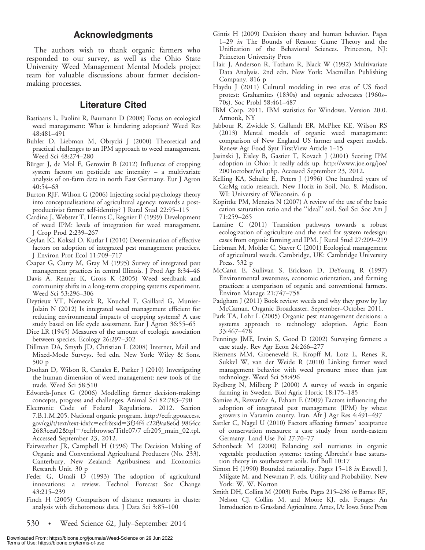#### Acknowledgments

The authors wish to thank organic farmers who responded to our survey, as well as the Ohio State University Weed Management Mental Models project team for valuable discussions about farmer decisionmaking processes.

#### Literature Cited

- Bastiaans L, Paolini R, Baumann D (2008) Focus on ecological weed management: What is hindering adoption? Weed Res 48:481–491
- Buhler D, Liebman M, Obrycki J (2000) Theoretical and practical challenges to an IPM approach to weed management. Weed Sci 48:274–280
- Bürger J, de Mol F, Gerowitt B (2012) Influence of cropping system factors on pesticide use intensity – a multivariate analysis of on-farm data in north East Germany. Eur J Agron 40:54–63
- Burton RJF, Wilson G (2006) Injecting social psychology theory into conceptualisations of agricultural agency: towards a postproductivist farmer self-identity? J Rural Stud 22:95–115
- Cardina J, Webster T, Herms C, Regnier E (1999) Development of weed IPM: levels of integration for weed management. J Crop Prod 2:239–267
- Ceylan IC, Koksal O, Kutlar I (2010) Determination of effective factors on adoption of integrated pest management practices. J Environ Prot Ecol 11:709–717
- Czapar G, Curry M, Gray M (1995) Survey of integrated pest management practices in central Illinois. J Prod Agr 8:34–46
- Davis A, Renner K, Gross K (2005) Weed seedbank and community shifts in a long-term cropping systems experiment. Weed Sci 53:296–306
- Deytieux VT, Nemecek R, Knuchel F, Gaillard G, Munier-Jolain N (2012) Is integrated weed management efficient for reducing environmental impacts of cropping systems? A case study based on life cycle assessment. Eur J Agron 36:55–65
- Dice LR (1945) Measures of the amount of ecologic association between species. Ecology 26:297–302
- Dillman DA, Smyth JD, Christian L (2008) Internet, Mail and Mixed-Mode Surveys. 3rd edn. New York: Wiley & Sons. 500 p
- Doohan D, Wilson R, Canales E, Parker J (2010) Investigating the human dimension of weed management: new tools of the trade. Weed Sci 58:510
- Edwards-Jones G (2006) Modelling farmer decision-making: concepts, progress and challenges. Animal Sci 82:783–790
- Electronic Code of Federal Regulations. 2012. Section 7.B.1.M.205. National organic program. http://ecfr.gpoaccess. gov/cgi/t/text/text-idx?c5ecfr&sid53f34f4 c22f9aa8e6d 9864cc 2683cea02&tpl=/ecfrbrowse/Title07/7 cfr205\_main\_02.tpl. Accessed September 23, 2012.
- Fairweather JR, Campbell H (1996) The Decision Making of Organic and Conventional Agricultural Producers (No. 233). Canterbury, New Zealand: Agribusiness and Economics Research Unit. 30 p
- Feder G, Umali D (1993) The adoption of agricultural innovations: a review. Technol Forecast Soc Change 43:215–239
- Finch H (2005) Comparison of distance measures in cluster analysis with dichotomous data. J Data Sci 3:85–100

530 • Weed Science 62, July–September 2014

- Gintis H (2009) Decision theory and human behavior. Pages 1–29 in The Bounds of Reason: Game Theory and the Unification of the Behavioral Sciences. Princeton, NJ: Princeton University Press
- Hair J, Anderson R, Tatham R, Black W (1992) Multivariate Data Analysis. 2nd edn. New York: Macmillan Publishing Company. 816 p
- Haydu J (2011) Cultural modeling in two eras of US food protest: Grahamites (1830s) and organic advocates (1960s– 70s). Soc Probl 58:461–487
- IBM Corp. 2011. IBM statistics for Windows. Version 20.0. Armonk, NY
- Jabbour R, Zwickle S, Gallandt ER, McPhee KE, Wilson RS (2013) Mental models of organic weed management: comparison of New England US farmer and expert models. Renew Agr Food Syst FirstView Article 1–15
- Jasinski J, Eisley B, Gastier T, Kovach J (2001) Scoring IPM adoption in Ohio: It really adds up. http://www.joe.org/joe/ 2001october/iw1.php. Accessed September 23, 2012.
- Kelling KA, Schulte E, Peters J (1996) One hundred years of Ca:Mg ratio research. New Horiz in Soil, No. 8. Madison, WI: University of Wisconsin. 6 p
- Kopittke PM, Menzies N (2007) A review of the use of the basic cation saturation ratio and the ''ideal'' soil. Soil Sci Soc Am J 71:259–265
- Lamine C (2011) Transition pathways towards a robust ecologization of agriculture and the need for system redesign: cases from organic farming and IPM. J Rural Stud 27:209–219
- Liebman M, Mohler C, Staver C (2001) Ecological management of agricultural weeds. Cambridge, UK: Cambridge University Press. 532 p
- McCann E, Sullivan S, Erickson D, DeYoung R (1997) Environmental awareness, economic orientation, and farming practices: a comparison of organic and conventional farmers. Environ Manage 21:747–758
- Padgham J (2011) Book review: weeds and why they grow by Jay McCaman. Organic Broadcaster. September–October 2011.
- Park TA, Lohr L (2005) Organic pest management decisions: a systems approach to technology adoption. Agric Econ 33:467–478
- Pennings JME, Irwin S, Good D (2002) Surveying farmers: a case study. Rev Agr Econ 24:266–277
- Riemens MM, Groeneveld R, Kropff M, Lotz L, Renes R, Sukkel W, van der Weide R (2010) Linking farmer weed management behavior with weed pressure: more than just technology. Weed Sci 58:496
- Rydberg N, Milberg P (2000) A survey of weeds in organic farming in Sweden. Biol Agric Hortic 18:175–185
- Samiee A, Rezvanfar A, Faham E (2009) Factors influencing the adoption of integrated pest management (IPM) by wheat growers in Varamin county, Iran. Afr J Agr Res 4:491–497
- Sattler C, Nagel U (2010) Factors affecting farmers' acceptance of conservation measures: a case study from north-eastern Germany. Land Use Pol 27:70–77
- Schonbeck M (2000) Balancing soil nutrients in organic vegetable production systems: testing Albrecht's base saturation theory in southeastern soils. Inf Bull 10:17
- Simon H (1990) Bounded rationality. Pages 15–18 in Eatwell J, Milgate M, and Newman P, eds. Utility and Probability. New York: W. W. Norton
- Smith DH, Collins M (2003) Forbs. Pages 215–236 in Barnes RF, Nelson CJ, Collins M, and Moore KJ, eds. Forages: An Introduction to Grassland Agriculture. Ames, IA: Iowa State Press